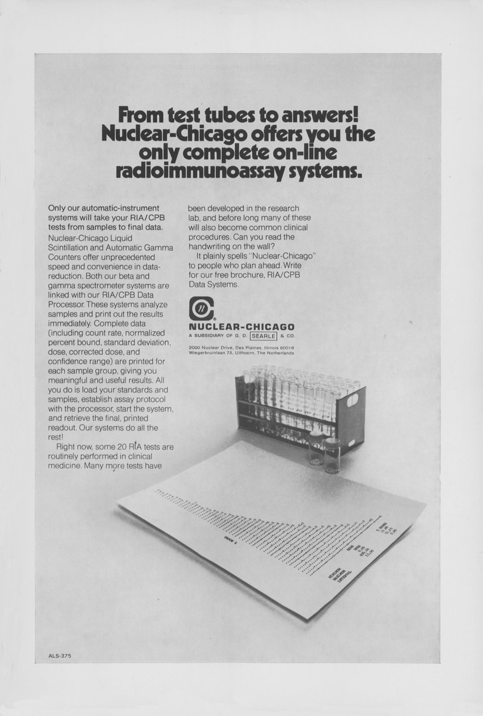## **From test tubes to answers! Nuclear-Chicago offers\_you the o n.ly complete on-line radioimmunoassay systems.**

Only our automatic-instrument systems will take your RIA/CPB tests from samples to final data. Nuclear-Chicago Liquid Scintillation and Automatic Gamma Counters offer unprecedented speed and convenience in datareduction. Both our beta and gamma spectrometer systems are linked with our RIA/CPB Data Processor. These systems analyze samples and print out the results immediately, Complete data (including count rate. normalized percent bound, standard deviation. dose, corrected dose. and confidence range) are printed for each sample group, giving you meaningful and useful results. All you do is load your standards and samples, establish assay protocol with the processor, start the system. and retrieve the final, printed readout, Our systems do all the rest!

Right now, some 20 R[A tests are routinely performed in clinical medicine. Many more tests have

been developed in the research lab, and before long many of these will also become common clinical procedures. Can you read the handwriting on the wall?

It plainly spells "Nuclear-Chicago" to people who plan ahead. Write for our free brochure, RIA/CPB Data Systems.



2000 Nuclear Drive, Des Plaines, Illinois 60018<br>Wiegerbruinlaan 75, Uithoorn, The Netherlands



**/**